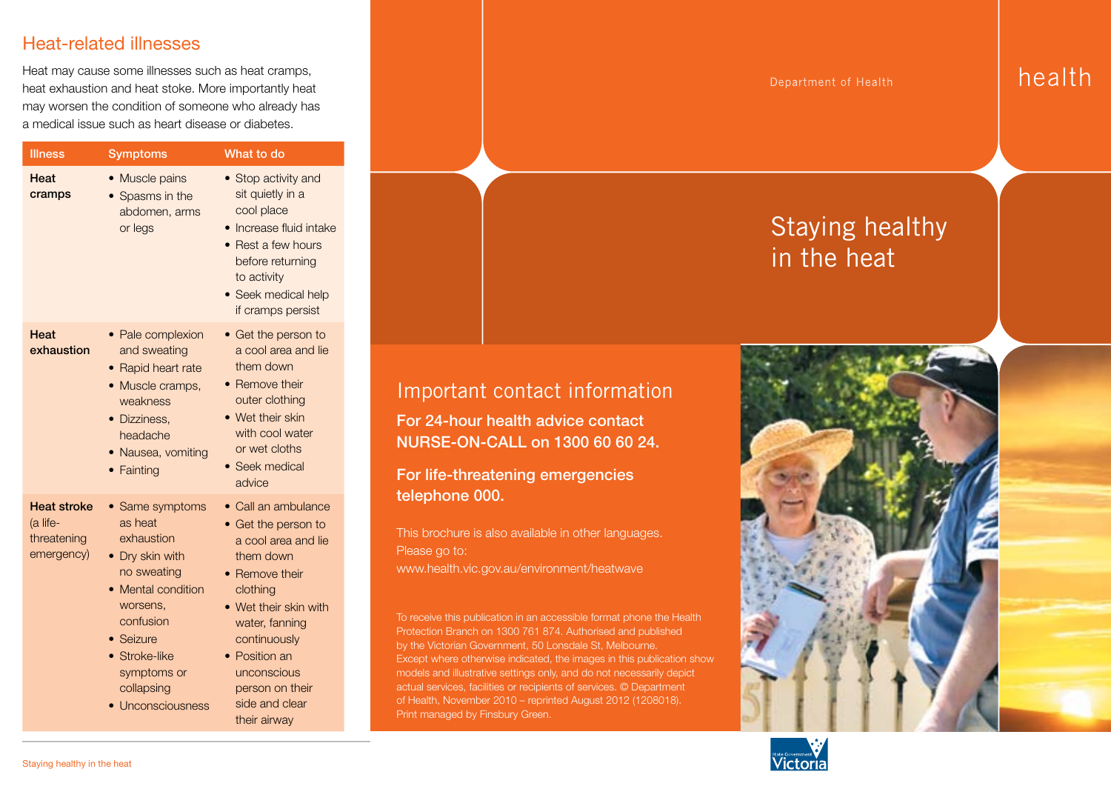#### Heat-related illnesses

Heat may cause some illnesses such as heat cramps, heat exhaustion and heat stoke. More importantly heat may worsen the condition of someone who already has a medical issue such as heart disease or diabetes.

|  | <b>Illness</b>                                              | <b>Symptoms</b>                                                                                                                                                                                              | What to do                                                                                                                                                                                                                                                   |
|--|-------------------------------------------------------------|--------------------------------------------------------------------------------------------------------------------------------------------------------------------------------------------------------------|--------------------------------------------------------------------------------------------------------------------------------------------------------------------------------------------------------------------------------------------------------------|
|  | Heat<br>cramps                                              | • Muscle pains<br>Spasms in the<br>abdomen, arms<br>or legs                                                                                                                                                  | • Stop activity and<br>sit quietly in a<br>cool place<br>· Increase fluid intake<br>• Rest a few hours<br>before returning<br>to activity<br>· Seek medical help<br>if cramps persist                                                                        |
|  | Heat<br>exhaustion                                          | • Pale complexion<br>and sweating<br>• Rapid heart rate<br>• Muscle cramps,<br>weakness<br>• Dizziness.<br>headache<br>• Nausea, vomiting<br>• Fainting                                                      | • Get the person to<br>a cool area and lie<br>them down<br>• Remove their<br>outer clothing<br>• Wet their skin<br>with cool water<br>or wet cloths<br>• Seek medical<br>advice                                                                              |
|  | <b>Heat stroke</b><br>(a life-<br>threatening<br>emergency) | • Same symptoms<br>as heat<br>exhaustion<br>• Dry skin with<br>no sweating<br><b>Mental condition</b><br>worsens,<br>confusion<br>• Seizure<br>• Stroke-like<br>symptoms or<br>collapsing<br>Unconsciousness | • Call an ambulance<br>• Get the person to<br>a cool area and lie<br>them down<br>• Remove their<br>clothing<br>• Wet their skin with<br>water, fanning<br>continuously<br>• Position an<br>unconscious<br>person on their<br>side and clear<br>their airway |

Department of Health

# Staying healthy in the heat



For 24-hour health advice contact NURSE-ON-CALL on 1300 60 60 24.

For life-threatening emergencies telephone 000.

This brochure is also available in other languages. Please go to: www.health.vic.gov.au/environment/heatwave

To receive this publication in an accessible format phone the Health Protection Branch on 1300 761 874. Authorised and published by the Victorian Government, 50 Lonsdale St, Melbourne. Except where otherwise indicated, the images in this publication show models and illustrative settings only, and do not necessarily depict actual services, facilities or recipients of services. © Department of Health, November 2010 – reprinted August 2012 (1208018). Print managed by Finsbury Green.





health

Ī